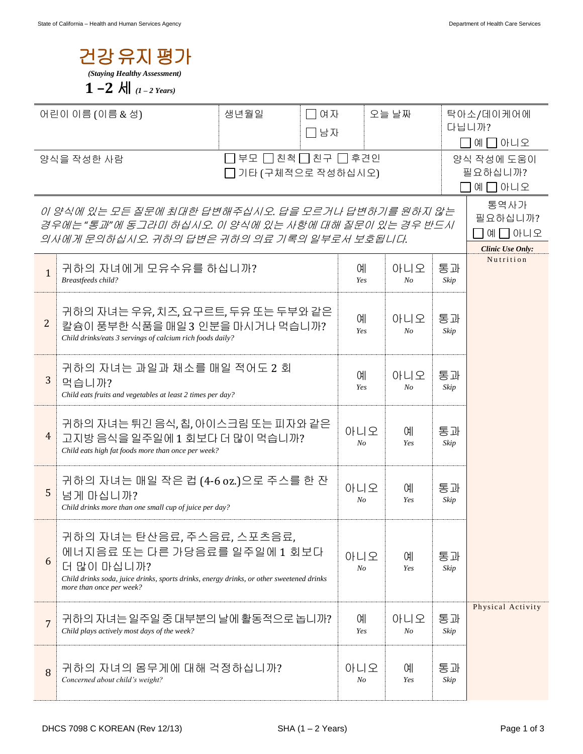

| 어린이 이름 (이름 & 성)                                                                                                                                         |                                                                                                                                                                                                  | 생년월일                                   | □ 여자<br>오늘 날짜<br>□남자 |                       |                                  | 탁아소/데이케어에<br>다닙니까?<br>예 _ 아니오 |                                                       |
|---------------------------------------------------------------------------------------------------------------------------------------------------------|--------------------------------------------------------------------------------------------------------------------------------------------------------------------------------------------------|----------------------------------------|----------------------|-----------------------|----------------------------------|-------------------------------|-------------------------------------------------------|
| 양식을 작성한 사람                                                                                                                                              |                                                                                                                                                                                                  | □부모 □친척□친구 □후견인<br>□ 기타 (구체적으로 작성하십시오) |                      |                       | 양식 작성에 도움이<br>필요하십니까?<br>예 그 아니오 |                               |                                                       |
| 이 양식에 있는 모든 질문에 최대한 답변해주십시오. 답을 모르거나 답변하기를 원하지 않는<br>경우에는 "통과"에 동그라미 하십시오. 이 양식에 있는 사항에 대해 질문이 있는 경우 반드시<br>의사에게 문의하십시오. 귀하의 답변은 귀하의 의료 기록의 일부로서 보호됩니다. |                                                                                                                                                                                                  |                                        |                      |                       |                                  |                               | 통역사가<br>필요하십니까?<br>예 그 아니오<br><b>Clinic Use Only:</b> |
| $\mathbf{1}$                                                                                                                                            | 귀하의 자녀에게 모유수유를 하십니까?<br>Breastfeeds child?                                                                                                                                                       |                                        |                      | 예<br>Yes              | 아니오<br>No                        | 통과<br>Skip                    | Nutrition                                             |
| 2                                                                                                                                                       | 귀하의 자녀는 우유, 치즈, 요구르트, 두유 또는 두부와 같은<br>칼슘이 풍부한 식품을 매일 3 인분을 마시거나 먹습니까?<br>Child drinks/eats 3 servings of calcium rich foods daily?                                                               |                                        |                      | 예<br>Yes              | 아니오<br>No                        | 통과<br>Skip                    |                                                       |
| 3                                                                                                                                                       | 귀하의 자녀는 과일과 채소를 매일 적어도 2 회<br>먹습니까?<br>Child eats fruits and vegetables at least 2 times per day?                                                                                                |                                        | 예<br>Yes             | 아니오<br>No             | 통과<br>Skip                       |                               |                                                       |
| $\overline{4}$                                                                                                                                          | 귀하의 자녀는 튀긴 음식, 칩, 아이스크림 또는 피자와 같은<br>고지방 음식을 일주일에 1 회보다 더 많이 먹습니까?<br>Child eats high fat foods more than once per week?                                                                         |                                        | 아니오<br>No            | 예<br>Yes              | 통과<br>Skip                       |                               |                                                       |
| 5                                                                                                                                                       | 귀하의 자녀는 매일 작은 컵 (4-6 oz.)으로 주스를 한 잔<br>넘게 마십니까?<br>Child drinks more than one small cup of juice per day?                                                                                        |                                        | 아니오<br>$N_{O}$       | 예<br>Yes              | 통과<br>Skip                       |                               |                                                       |
| 6                                                                                                                                                       | 귀하의 자녀는 탄산음료, 주스음료, 스포츠음료,<br>에너지음료 또는 다른 가당음료를 일주일에 1 회보다<br>더 많이 마십니까?<br>Child drinks soda, juice drinks, sports drinks, energy drinks, or other sweetened drinks<br>more than once per week? |                                        |                      | 아니오<br>No             | 예<br>Yes                         | 통과<br>Skip                    |                                                       |
| 7                                                                                                                                                       | 귀하의 자녀는 일주일 중 대부분의 날에 활동적으로 놉니까?<br>Child plays actively most days of the week?                                                                                                                  |                                        |                      | 예<br>Yes              | 아니오<br>No                        | 통과<br>Skip                    | Physical Activity                                     |
| 8                                                                                                                                                       | 귀하의 자녀의 몸무게에 대해 걱정하십니까?<br>Concerned about child's weight?                                                                                                                                       |                                        |                      | 아니오<br>N <sub>O</sub> | 예<br>Yes                         | 통과<br>Skip                    |                                                       |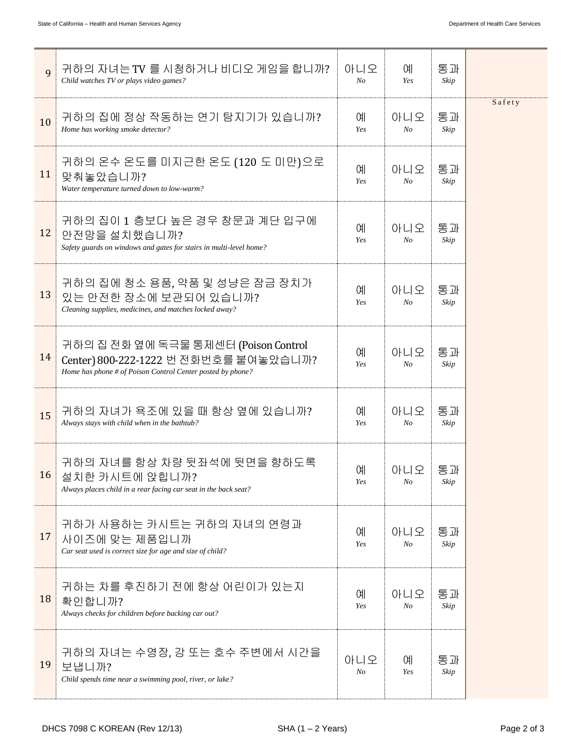| 9  | 귀하의 자녀는 TV 를 시청하거나 비디오 게임을 합니까?<br>Child watches TV or plays video games?                                                                   | 아니오<br>No             | 예<br>Yes              | 통과<br>Skip |        |
|----|---------------------------------------------------------------------------------------------------------------------------------------------|-----------------------|-----------------------|------------|--------|
| 10 | 귀하의 집에 정상 작동하는 연기 탐지기가 있습니까?<br>Home has working smoke detector?                                                                            | 예<br>Yes              | 아니오<br>$N_{O}$        | 통과<br>Skip | Safety |
| 11 | 귀하의 온수 온도를 미지근한 온도 (120 도 미만)으로<br>맞춰놓았습니까?<br>Water temperature turned down to low-warm?                                                   | 예<br>Yes              | 아니오<br>N <sub>O</sub> | 통과<br>Skip |        |
| 12 | 귀하의 집이 1 층보다 높은 경우 창문과 계단 입구에<br>안전망을 설치했습니까?<br>Safety guards on windows and gates for stairs in multi-level home?                         | 예<br>Yes              | 아니오<br>N <sub>o</sub> | 통과<br>Skip |        |
| 13 | 귀하의 집에 청소 용품, 약품 및 성냥은 잠금 장치가<br>있는 안전한 장소에 보관되어 있습니까?<br>Cleaning supplies, medicines, and matches locked away?                            | 예<br>Yes              | 아니오<br>N <sub>O</sub> | 통과<br>Skip |        |
| 14 | 귀하의 집 전화 옆에 독극물 통제센터 (Poison Control<br>Center) 800-222-1222 번 전화번호를 붙여놓았습니까?<br>Home has phone # of Poison Control Center posted by phone? | 예<br>Yes              | 아니오<br>$N_{O}$        | 통과<br>Skip |        |
| 15 | 귀하의 자녀가 욕조에 있을 때 항상 옆에 있습니까?<br>Always stays with child when in the bathtub?                                                                | 예<br>Yes              | 아니오<br>N <sub>O</sub> | 통과<br>Skip |        |
| 16 | 귀하의 자녀를 항상 차량 뒷좌석에 뒷면을 향하도록<br>설치한 카시트에 앉힙니까?<br>Always places child in a rear facing car seat in the back seat?                            | <b>CHI</b><br>Yes     | 아니오<br>N <sub>o</sub> | 통과<br>Skip |        |
| 17 | 귀하가 사용하는 카시트는 귀하의 자녀의 연령과<br>사이즈에 맞는 제품입니까<br>Car seat used is correct size for age and size of child?                                      | 예<br>Yes              | 아니오<br>$N_{O}$        | 통과<br>Skip |        |
| 18 | 귀하는 차를 후진하기 전에 항상 어린이가 있는지<br>확인합니까?<br>Always checks for children before backing car out?                                                  | 예<br>Yes              | 아니오<br>$N_{O}$        | 통과<br>Skip |        |
| 19 | 귀하의 자녀는 수영장, 강 또는 호수 주변에서 시간을<br>보냅니까?<br>Child spends time near a swimming pool, river, or lake?                                           | 아니오<br>N <sub>O</sub> | 예<br>Yes              | 통과<br>Skip |        |